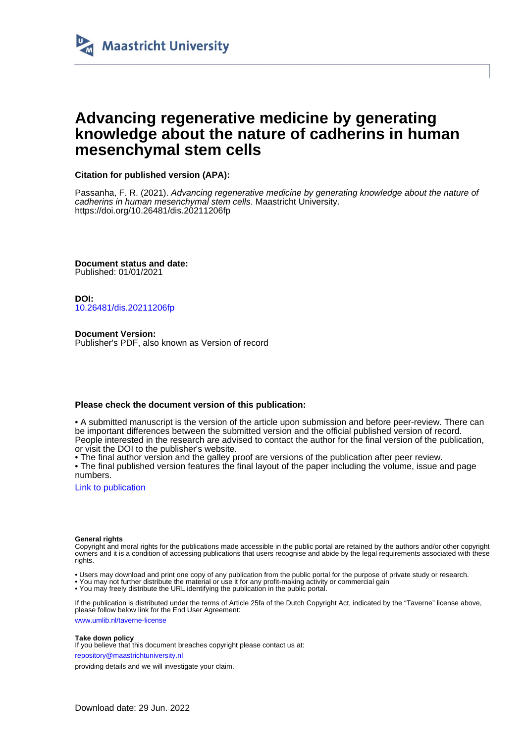

### **Advancing regenerative medicine by generating knowledge about the nature of cadherins in human mesenchymal stem cells**

**Citation for published version (APA):**

Passanha, F. R. (2021). Advancing regenerative medicine by generating knowledge about the nature of cadherins in human mesenchymal stem cells. Maastricht University. <https://doi.org/10.26481/dis.20211206fp>

**Document status and date:** Published: 01/01/2021

**DOI:** [10.26481/dis.20211206fp](https://doi.org/10.26481/dis.20211206fp)

**Document Version:** Publisher's PDF, also known as Version of record

#### **Please check the document version of this publication:**

• A submitted manuscript is the version of the article upon submission and before peer-review. There can be important differences between the submitted version and the official published version of record. People interested in the research are advised to contact the author for the final version of the publication, or visit the DOI to the publisher's website.

• The final author version and the galley proof are versions of the publication after peer review.

• The final published version features the final layout of the paper including the volume, issue and page numbers.

[Link to publication](https://cris.maastrichtuniversity.nl/en/publications/724bfa9d-012c-48fe-8cb8-f79b3aedd6c2)

#### **General rights**

Copyright and moral rights for the publications made accessible in the public portal are retained by the authors and/or other copyright owners and it is a condition of accessing publications that users recognise and abide by the legal requirements associated with these rights.

- Users may download and print one copy of any publication from the public portal for the purpose of private study or research.
- You may not further distribute the material or use it for any profit-making activity or commercial gain
- You may freely distribute the URL identifying the publication in the public portal.

If the publication is distributed under the terms of Article 25fa of the Dutch Copyright Act, indicated by the "Taverne" license above, please follow below link for the End User Agreement:

www.umlib.nl/taverne-license

#### **Take down policy**

If you believe that this document breaches copyright please contact us at:

repository@maastrichtuniversity.nl

providing details and we will investigate your claim.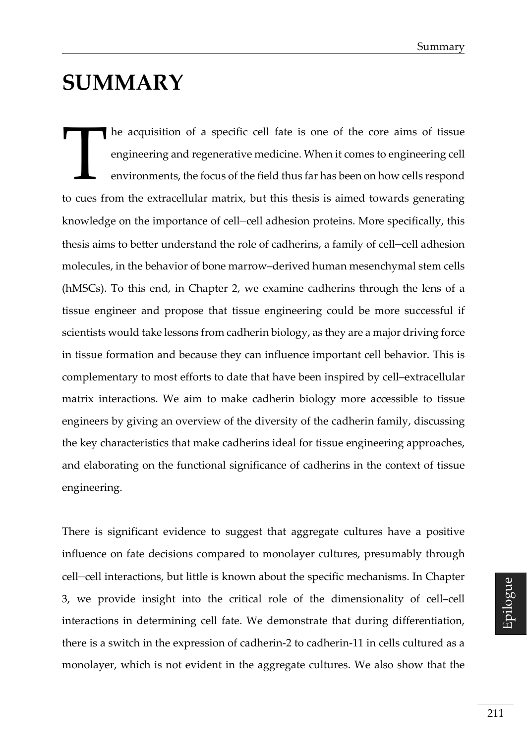## **SUMMARY**

he acquisition of a specific cell fate is one of the core aims of tissue engineering and regenerative medicine. When it comes to engineering cell environments, the focus of the field thus far has been on how cells respond to cues from the extracellular matrix, but this thesis is aimed towards generating knowledge on the importance of cell–cell adhesion proteins. More specifically, this thesis aims to better understand the role of cadherins, a family of cell–cell adhesion molecules, in the behavior of bone marrow–derived human mesenchymal stem cells (hMSCs). To this end, in Chapter 2, we examine cadherins through the lens of a tissue engineer and propose that tissue engineering could be more successful if scientists would take lessons from cadherin biology, as they are a major driving force in tissue formation and because they can influence important cell behavior. This is complementary to most efforts to date that have been inspired by cell–extracellular matrix interactions. We aim to make cadherin biology more accessible to tissue engineers by giving an overview of the diversity of the cadherin family, discussing the key characteristics that make cadherins ideal for tissue engineering approaches, and elaborating on the functional significance of cadherins in the context of tissue engineering. T

There is significant evidence to suggest that aggregate cultures have a positive influence on fate decisions compared to monolayer cultures, presumably through cell–cell interactions, but little is known about the specific mechanisms. In Chapter 3, we provide insight into the critical role of the dimensionality of cell–cell interactions in determining cell fate. We demonstrate that during differentiation, there is a switch in the expression of cadherin-2 to cadherin-11 in cells cultured as a monolayer, which is not evident in the aggregate cultures. We also show that the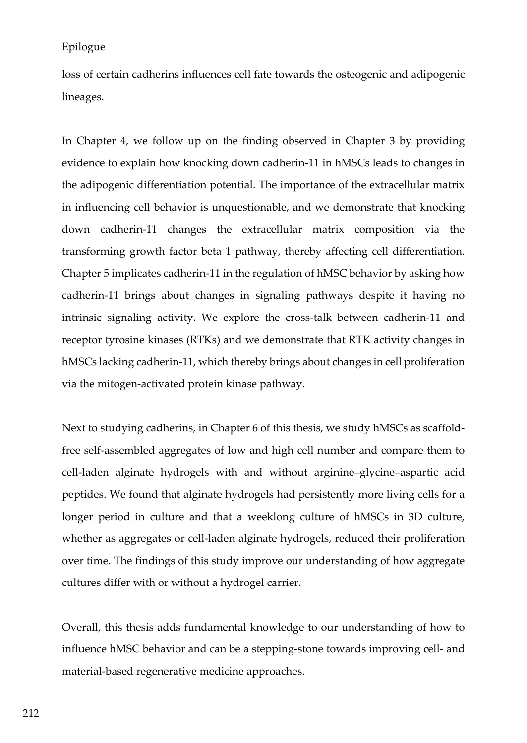loss of certain cadherins influences cell fate towards the osteogenic and adipogenic lineages.

In Chapter 4, we follow up on the finding observed in Chapter 3 by providing evidence to explain how knocking down cadherin-11 in hMSCs leads to changes in the adipogenic differentiation potential. The importance of the extracellular matrix in influencing cell behavior is unquestionable, and we demonstrate that knocking down cadherin-11 changes the extracellular matrix composition via the transforming growth factor beta 1 pathway, thereby affecting cell differentiation. Chapter 5 implicates cadherin-11 in the regulation of hMSC behavior by asking how cadherin-11 brings about changes in signaling pathways despite it having no intrinsic signaling activity. We explore the cross-talk between cadherin-11 and receptor tyrosine kinases (RTKs) and we demonstrate that RTK activity changes in hMSCs lacking cadherin-11, which thereby brings about changes in cell proliferation via the mitogen-activated protein kinase pathway.

Next to studying cadherins, in Chapter 6 of this thesis, we study hMSCs as scaffoldfree self-assembled aggregates of low and high cell number and compare them to cell-laden alginate hydrogels with and without arginine–glycine–aspartic acid peptides. We found that alginate hydrogels had persistently more living cells for a longer period in culture and that a weeklong culture of hMSCs in 3D culture, whether as aggregates or cell-laden alginate hydrogels, reduced their proliferation over time. The findings of this study improve our understanding of how aggregate cultures differ with or without a hydrogel carrier.

Overall, this thesis adds fundamental knowledge to our understanding of how to influence hMSC behavior and can be a stepping-stone towards improving cell- and material-based regenerative medicine approaches.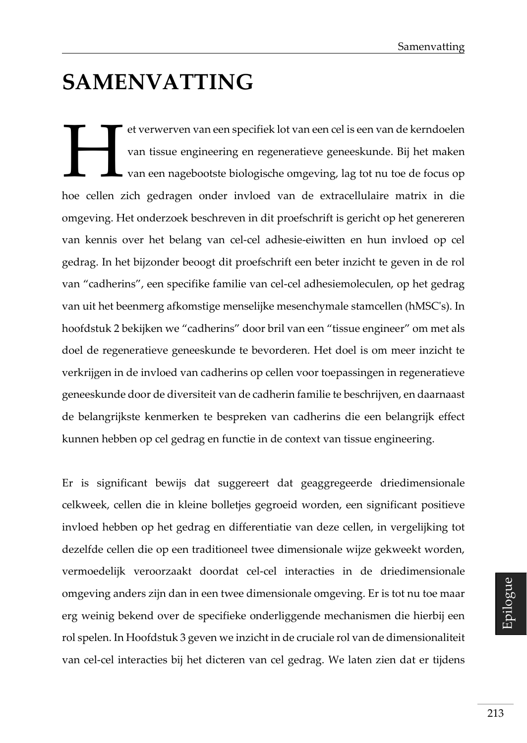# **SAMENVATTING**

et verwerven van een specifiek lot van een cel is een van de kerndoelen van tissue engineering en regeneratieve geneeskunde. Bij het maken van een nagebootste biologische omgeving, lag tot nu toe de focus op hoe cellen zich gedragen onder invloed van de extracellulaire matrix in die omgeving. Het onderzoek beschreven in dit proefschrift is gericht op het genereren van kennis over het belang van cel-cel adhesie-eiwitten en hun invloed op cel gedrag. In het bijzonder beoogt dit proefschrift een beter inzicht te geven in de rol van "cadherins", een specifike familie van cel-cel adhesiemoleculen, op het gedrag van uit het beenmerg afkomstige menselijke mesenchymale stamcellen (hMSC's). In hoofdstuk 2 bekijken we "cadherins" door bril van een "tissue engineer" om met als doel de regeneratieve geneeskunde te bevorderen. Het doel is om meer inzicht te verkrijgen in de invloed van cadherins op cellen voor toepassingen in regeneratieve geneeskunde door de diversiteit van de cadherin familie te beschrijven, en daarnaast de belangrijkste kenmerken te bespreken van cadherins die een belangrijk effect kunnen hebben op cel gedrag en functie in de context van tissue engineering. H

Er is significant bewijs dat suggereert dat geaggregeerde driedimensionale celkweek, cellen die in kleine bolletjes gegroeid worden, een significant positieve invloed hebben op het gedrag en differentiatie van deze cellen, in vergelijking tot dezelfde cellen die op een traditioneel twee dimensionale wijze gekweekt worden, vermoedelijk veroorzaakt doordat cel-cel interacties in de driedimensionale omgeving anders zijn dan in een twee dimensionale omgeving. Er is tot nu toe maar erg weinig bekend over de specifieke onderliggende mechanismen die hierbij een rol spelen. In Hoofdstuk 3 geven we inzicht in de cruciale rol van de dimensionaliteit van cel-cel interacties bij het dicteren van cel gedrag. We laten zien dat er tijdens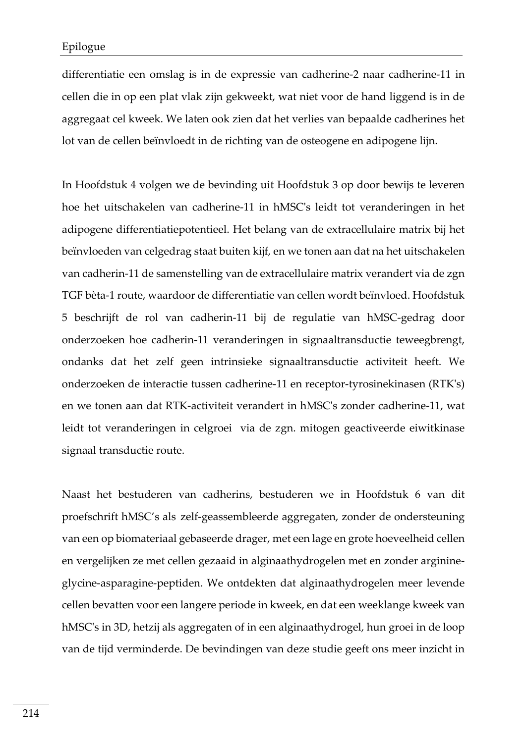differentiatie een omslag is in de expressie van cadherine-2 naar cadherine-11 in cellen die in op een plat vlak zijn gekweekt, wat niet voor de hand liggend is in de aggregaat cel kweek. We laten ook zien dat het verlies van bepaalde cadherines het lot van de cellen beïnvloedt in de richting van de osteogene en adipogene lijn.

In Hoofdstuk 4 volgen we de bevinding uit Hoofdstuk 3 op door bewijs te leveren hoe het uitschakelen van cadherine-11 in hMSC's leidt tot veranderingen in het adipogene differentiatiepotentieel. Het belang van de extracellulaire matrix bij het beïnvloeden van celgedrag staat buiten kijf, en we tonen aan dat na het uitschakelen van cadherin-11 de samenstelling van de extracellulaire matrix verandert via de zgn TGF bèta-1 route, waardoor de differentiatie van cellen wordt beïnvloed. Hoofdstuk 5 beschrijft de rol van cadherin-11 bij de regulatie van hMSC-gedrag door onderzoeken hoe cadherin-11 veranderingen in signaaltransductie teweegbrengt, ondanks dat het zelf geen intrinsieke signaaltransductie activiteit heeft. We onderzoeken de interactie tussen cadherine-11 en receptor-tyrosinekinasen (RTK's) en we tonen aan dat RTK-activiteit verandert in hMSC's zonder cadherine-11, wat leidt tot veranderingen in celgroei via de zgn. mitogen geactiveerde eiwitkinase signaal transductie route.

Naast het bestuderen van cadherins, bestuderen we in Hoofdstuk 6 van dit proefschrift hMSC's als zelf-geassembleerde aggregaten, zonder de ondersteuning van een op biomateriaal gebaseerde drager, met een lage en grote hoeveelheid cellen en vergelijken ze met cellen gezaaid in alginaathydrogelen met en zonder arginineglycine-asparagine-peptiden. We ontdekten dat alginaathydrogelen meer levende cellen bevatten voor een langere periode in kweek, en dat een weeklange kweek van hMSC's in 3D, hetzij als aggregaten of in een alginaathydrogel, hun groei in de loop van de tijd verminderde. De bevindingen van deze studie geeft ons meer inzicht in